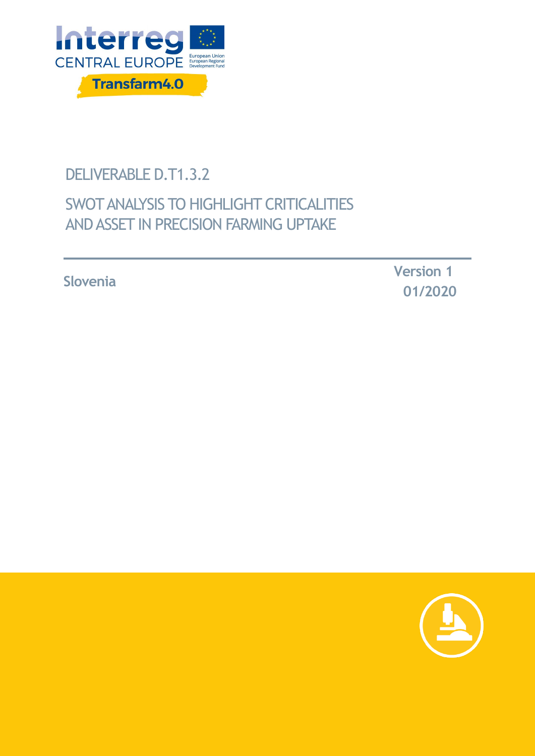

# DELIVERABLE D.T1.3.2

# SWOT ANALYSIS TO HIGHLIGHT CRITICALITIES AND ASSET IN PRECISION FARMING UPTAKE

**Slovenia Version <sup>1</sup> 01/2020**

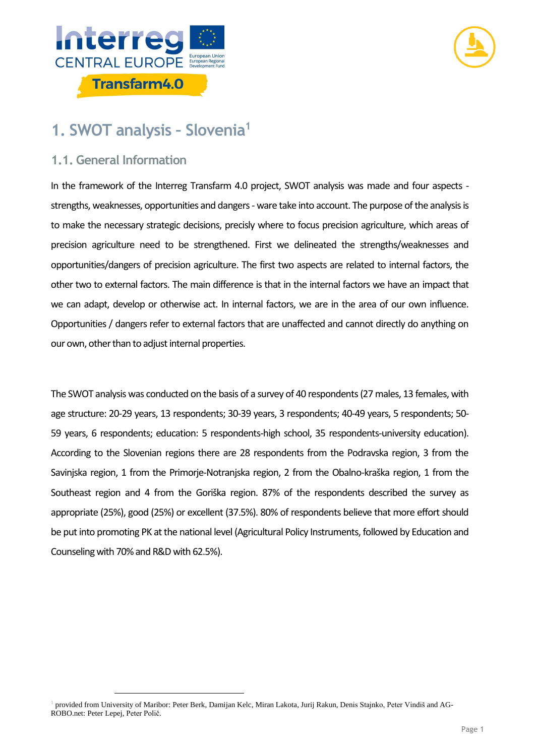



# **1. SWOT analysis – Slovenia<sup>1</sup>**

### **1.1. General Information**

-

In the framework of the Interreg Transfarm 4.0 project, SWOT analysis was made and four aspects strengths, weaknesses, opportunities and dangers - ware take into account. The purpose of the analysis is to make the necessary strategic decisions, precisly where to focus precision agriculture, which areas of precision agriculture need to be strengthened. First we delineated the strengths/weaknesses and opportunities/dangers of precision agriculture. The first two aspects are related to internal factors, the other two to external factors. The main difference is that in the internal factors we have an impact that we can adapt, develop or otherwise act. In internal factors, we are in the area of our own influence. Opportunities / dangers refer to external factors that are unaffected and cannot directly do anything on our own, other than to adjust internal properties.

The SWOT analysis was conducted on the basis of a survey of 40 respondents (27 males, 13 females, with age structure: 20-29 years, 13 respondents; 30-39 years, 3 respondents; 40-49 years, 5 respondents; 50- 59 years, 6 respondents; education: 5 respondents-high school, 35 respondents-university education). According to the Slovenian regions there are 28 respondents from the Podravska region, 3 from the Savinjska region, 1 from the Primorje-Notranjska region, 2 from the Obalno-kraška region, 1 from the Southeast region and 4 from the Goriška region. 87% of the respondents described the survey as appropriate (25%), good (25%) or excellent (37.5%). 80% of respondents believe that more effort should be put into promoting PK at the national level (Agricultural Policy Instruments, followed by Education and Counseling with 70% and R&D with 62.5%).

<sup>1</sup> provided from University of Maribor: Peter Berk, Damijan Kelc, Miran Lakota, Jurij Rakun, Denis Stajnko, Peter Vindiš and AG-ROBO.net: Peter Lepej, Peter Polič.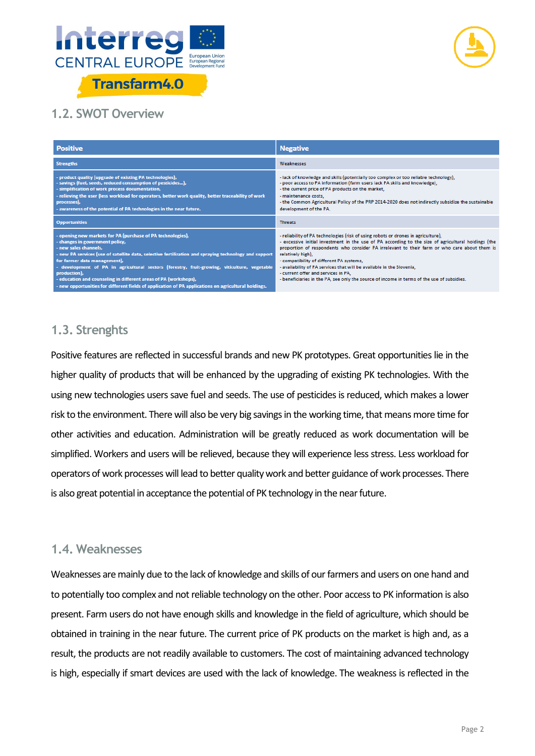



## **1.2. SWOT Overview**

| <b>Positive</b>                                                                                                                                                                                                                                                                                                                                                                                                                                                                                                                                              | <b>Negative</b>                                                                                                                                                                                                                                                                                                                                                                                                                                                                                                                                                         |
|--------------------------------------------------------------------------------------------------------------------------------------------------------------------------------------------------------------------------------------------------------------------------------------------------------------------------------------------------------------------------------------------------------------------------------------------------------------------------------------------------------------------------------------------------------------|-------------------------------------------------------------------------------------------------------------------------------------------------------------------------------------------------------------------------------------------------------------------------------------------------------------------------------------------------------------------------------------------------------------------------------------------------------------------------------------------------------------------------------------------------------------------------|
| <b>Strengths</b>                                                                                                                                                                                                                                                                                                                                                                                                                                                                                                                                             | Weaknesses                                                                                                                                                                                                                                                                                                                                                                                                                                                                                                                                                              |
| - product quality (upgrade of existing PA technologies),<br>- savings (fuel, seeds, reduced consumption of pesticides),<br>- simplification of work process documentation,<br>- relieving the user (less workload for operators, better work quality, better traceability of work<br>processes),<br>- awareness of the potential of PA technologies in the near future.                                                                                                                                                                                      | - lack of knowledge and skills (potentially too complex or too reliable technology),<br>- poor access to PA information (farm users lack PA skills and knowledge),<br>- the current price of PA products on the market,<br>- maintenance costs.<br>- the Common Agricultural Policy of the PRP 2014-2020 does not indirectly subsidize the sustainable<br>development of the PA.                                                                                                                                                                                        |
| <b>Opportunities</b>                                                                                                                                                                                                                                                                                                                                                                                                                                                                                                                                         | <b>Threats</b>                                                                                                                                                                                                                                                                                                                                                                                                                                                                                                                                                          |
| - opening new markets for PA (purchase of PA technologies),<br>- changes in government policy,<br>- new sales channels.<br>- new PA services (use of satellite data, selective fertilization and spraying technology and support<br>for farmer data management),<br>- development of PA in agricultural sectors (forestry, fruit-growing, viticulture, vegetable<br>production),<br>- education and counseling in different areas of PA (workshops),<br>- new opportunities for different fields of application of PA applications on agricultural holdings. | - reliability of PA technologies (risk of using robots or drones in agriculture),<br>- excessive initial investment in the use of PA according to the size of agricultural holdings (the<br>proportion of respondents who consider PA irrelevant to their farm or who care about them is<br>relatively high).<br>- compatibility of different PA systems.<br>- availability of PA services that will be available in the Slovenia,<br>- current offer and services in PA.<br>- beneficiaries in the PA, see only the source of income in terms of the use of subsidies. |

### **1.3. Strenghts**

Positive features are reflected in successful brands and new PK prototypes. Great opportunities lie in the higher quality of products that will be enhanced by the upgrading of existing PK technologies. With the using new technologies users save fuel and seeds. The use of pesticides is reduced, which makes a lower risk to the environment. There will also be very big savings in the working time, that means more time for other activities and education. Administration will be greatly reduced as work documentation will be simplified. Workers and users will be relieved, because they will experience less stress. Less workload for operators of work processes will lead to better quality work and better guidance of work processes. There is also great potential in acceptance the potential of PK technology in the near future.

#### **1.4. Weaknesses**

Weaknesses are mainly due to the lack of knowledge and skills of our farmers and users on one hand and to potentially too complex and not reliable technology on the other. Poor access to PK information is also present. Farm users do not have enough skills and knowledge in the field of agriculture, which should be obtained in training in the near future. The current price of PK products on the market is high and, as a result, the products are not readily available to customers. The cost of maintaining advanced technology is high, especially if smart devices are used with the lack of knowledge. The weakness is reflected in the